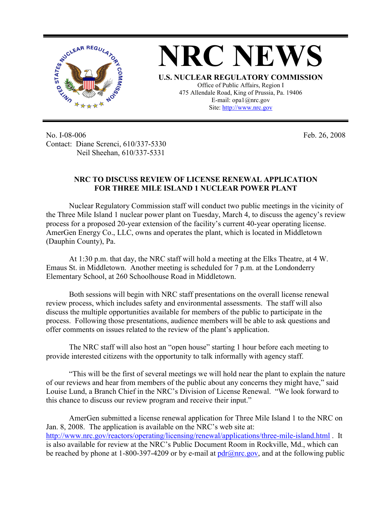

**NRC NEWS U.S. NUCLEAR REGULATORY COMMISSION** Office of Public Affairs, Region I 475 Allendale Road, King of Prussia, Pa. 19406 E-mail: opa1@nrc.gov Site: http://www.nrc.gov

No. I-08-006 Contact: Diane Screnci, 610/337-5330 Neil Sheehan, 610/337-5331

Feb. 26, 2008

## **NRC TO DISCUSS REVIEW OF LICENSE RENEWAL APPLICATION FOR THREE MILE ISLAND 1 NUCLEAR POWER PLANT**

Nuclear Regulatory Commission staff will conduct two public meetings in the vicinity of the Three Mile Island 1 nuclear power plant on Tuesday, March 4, to discuss the agency's review process for a proposed 20-year extension of the facility's current 40-year operating license. AmerGen Energy Co., LLC, owns and operates the plant, which is located in Middletown (Dauphin County), Pa.

At 1:30 p.m. that day, the NRC staff will hold a meeting at the Elks Theatre, at 4 W. Emaus St. in Middletown. Another meeting is scheduled for 7 p.m. at the Londonderry Elementary School, at 260 Schoolhouse Road in Middletown.

Both sessions will begin with NRC staff presentations on the overall license renewal review process, which includes safety and environmental assessments. The staff will also discuss the multiple opportunities available for members of the public to participate in the process. Following those presentations, audience members will be able to ask questions and offer comments on issues related to the review of the plant's application.

The NRC staff will also host an "open house" starting 1 hour before each meeting to provide interested citizens with the opportunity to talk informally with agency staff.

"This will be the first of several meetings we will hold near the plant to explain the nature of our reviews and hear from members of the public about any concerns they might have," said Louise Lund, a Branch Chief in the NRC's Division of License Renewal. "We look forward to this chance to discuss our review program and receive their input."

 AmerGen submitted a license renewal application for Three Mile Island 1 to the NRC on Jan. 8, 2008. The application is available on the NRC's web site at: http://www.nrc.gov/reactors/operating/licensing/renewal/applications/three-mile-island.html . It is also available for review at the NRC's Public Document Room in Rockville, Md., which can be reached by phone at 1-800-397-4209 or by e-mail at  $pdr/dnmc.gov$ , and at the following public